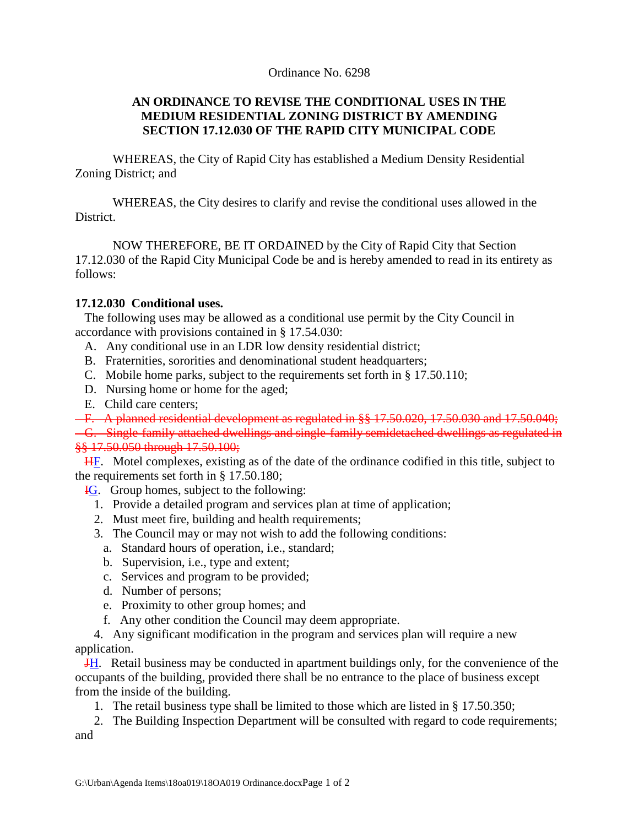## Ordinance No. 6298

## **AN ORDINANCE TO REVISE THE CONDITIONAL USES IN THE MEDIUM RESIDENTIAL ZONING DISTRICT BY AMENDING SECTION 17.12.030 OF THE RAPID CITY MUNICIPAL CODE**

WHEREAS, the City of Rapid City has established a Medium Density Residential Zoning District; and

WHEREAS, the City desires to clarify and revise the conditional uses allowed in the District.

NOW THEREFORE, BE IT ORDAINED by the City of Rapid City that Section 17.12.030 of the Rapid City Municipal Code be and is hereby amended to read in its entirety as follows:

## **17.12.030 Conditional uses.**

 The following uses may be allowed as a conditional use permit by the City Council in accordance with provisions contained in § 17.54.030:

- A. Any conditional use in an LDR low density residential district;
- B. Fraternities, sororities and denominational student headquarters;
- C. Mobile home parks, subject to the requirements set forth in § 17.50.110;
- D. Nursing home or home for the aged;
- E. Child care centers;

F. A planned residential development as regulated in §§ 17.50.020, 17.50.030 and 17.50.040;

 G. Single-family attached dwellings and single-family semidetached dwellings as regulated in §§ 17.50.050 through 17.50.100;

 HF. Motel complexes, existing as of the date of the ordinance codified in this title, subject to the requirements set forth in § 17.50.180;

- IG. Group homes, subject to the following:
	- 1. Provide a detailed program and services plan at time of application;
	- 2. Must meet fire, building and health requirements;
	- 3. The Council may or may not wish to add the following conditions:
		- a. Standard hours of operation, i.e., standard;
		- b. Supervision, i.e., type and extent;
		- c. Services and program to be provided;
		- d. Number of persons;
		- e. Proximity to other group homes; and
		- f. Any other condition the Council may deem appropriate.

 4. Any significant modification in the program and services plan will require a new application.

 JH. Retail business may be conducted in apartment buildings only, for the convenience of the occupants of the building, provided there shall be no entrance to the place of business except from the inside of the building.

1. The retail business type shall be limited to those which are listed in § 17.50.350;

 2. The Building Inspection Department will be consulted with regard to code requirements; and